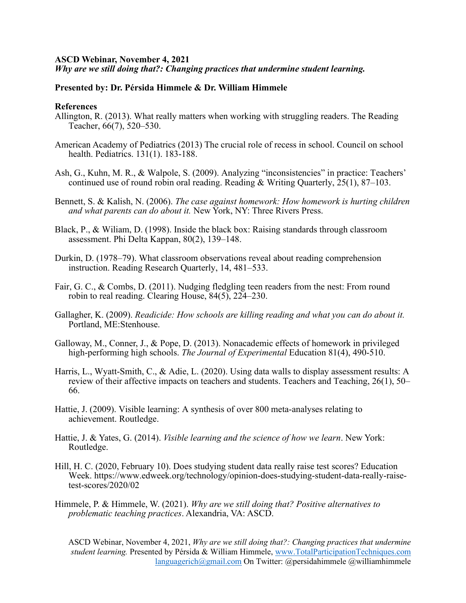## **ASCD Webinar, November 4, 2021**

*Why are we still doing that?: Changing practices that undermine student learning.*

## **Presented by: Dr. Pérsida Himmele & Dr. William Himmele**

## **References**

- Allington, R. (2013). What really matters when working with struggling readers. The Reading Teacher, 66(7), 520–530.
- American Academy of Pediatrics (2013) The crucial role of recess in school. Council on school health. Pediatrics. 131(1). 183-188.
- Ash, G., Kuhn, M. R., & Walpole, S. (2009). Analyzing "inconsistencies" in practice: Teachers' continued use of round robin oral reading. Reading & Writing Quarterly, 25(1), 87–103.
- Bennett, S. & Kalish, N. (2006). *The case against homework: How homework is hurting children and what parents can do about it.* New York, NY: Three Rivers Press.
- Black, P., & Wiliam, D. (1998). Inside the black box: Raising standards through classroom assessment. Phi Delta Kappan, 80(2), 139–148.
- Durkin, D. (1978–79). What classroom observations reveal about reading comprehension instruction. Reading Research Quarterly, 14, 481–533.
- Fair, G. C., & Combs, D. (2011). Nudging fledgling teen readers from the nest: From round robin to real reading. Clearing House, 84(5), 224–230.
- Gallagher, K. (2009). *Readicide: How schools are killing reading and what you can do about it.* Portland, ME:Stenhouse.
- Galloway, M., Conner, J., & Pope, D. (2013). Nonacademic effects of homework in privileged high-performing high schools. *The Journal of Experimental* Education 81(4), 490-510.
- Harris, L., Wyatt-Smith, C., & Adie, L. (2020). Using data walls to display assessment results: A review of their affective impacts on teachers and students. Teachers and Teaching, 26(1), 50– 66.
- Hattie, J. (2009). Visible learning: A synthesis of over 800 meta-analyses relating to achievement. Routledge.
- Hattie, J. & Yates, G. (2014). *Visible learning and the science of how we learn*. New York: Routledge.
- Hill, H. C. (2020, February 10). Does studying student data really raise test scores? Education Week. https://www.edweek.org/technology/opinion-does-studying-student-data-really-raisetest-scores/2020/02
- Himmele, P. & Himmele, W. (2021). *Why are we still doing that? Positive alternatives to problematic teaching practices*. Alexandria, VA: ASCD.

ASCD Webinar, November 4, 2021, *Why are we still doing that?: Changing practices that undermine student learning.* Presented by Pérsida & William Himmele, [www.TotalParticipationTechniques.com](http://www.totalparticipationtechniques.com/) [languagerich@gmail.com](mailto:languagerich@gmail.com) On Twitter: @persidahimmele @williamhimmele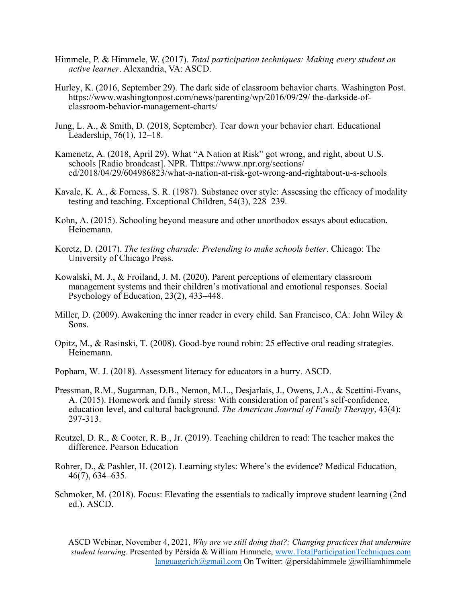- Himmele, P. & Himmele, W. (2017). *Total participation techniques: Making every student an active learner*. Alexandria, VA: ASCD.
- Hurley, K. (2016, September 29). The dark side of classroom behavior charts. Washington Post. https://www.washingtonpost.com/news/parenting/wp/2016/09/29/ the-darkside-ofclassroom-behavior-management-charts/
- Jung, L. A., & Smith, D. (2018, September). Tear down your behavior chart. Educational Leadership, 76(1), 12–18.
- Kamenetz, A. (2018, April 29). What "A Nation at Risk" got wrong, and right, about U.S. schools [Radio broadcast]. NPR. Thttps://www.npr.org/sections/ ed/2018/04/29/604986823/what-a-nation-at-risk-got-wrong-and-rightabout-u-s-schools
- Kavale, K. A., & Forness, S. R. (1987). Substance over style: Assessing the efficacy of modality testing and teaching. Exceptional Children, 54(3), 228–239.
- Kohn, A. (2015). Schooling beyond measure and other unorthodox essays about education. Heinemann.
- Koretz, D. (2017). *The testing charade: Pretending to make schools better*. Chicago: The University of Chicago Press.
- Kowalski, M. J., & Froiland, J. M. (2020). Parent perceptions of elementary classroom management systems and their children's motivational and emotional responses. Social Psychology of Education, 23(2), 433–448.
- Miller, D. (2009). Awakening the inner reader in every child. San Francisco, CA: John Wiley & Sons.
- Opitz, M., & Rasinski, T. (2008). Good-bye round robin: 25 effective oral reading strategies. Heinemann.
- Popham, W. J. (2018). Assessment literacy for educators in a hurry. ASCD.
- Pressman, R.M., Sugarman, D.B., Nemon, M.L., Desjarlais, J., Owens, J.A., & Scettini-Evans, A. (2015). Homework and family stress: With consideration of parent's self-confidence, education level, and cultural background. *The American Journal of Family Therapy*, 43(4): 297-313.
- Reutzel, D. R., & Cooter, R. B., Jr. (2019). Teaching children to read: The teacher makes the difference. Pearson Education
- Rohrer, D., & Pashler, H. (2012). Learning styles: Where's the evidence? Medical Education, 46(7), 634–635.
- Schmoker, M. (2018). Focus: Elevating the essentials to radically improve student learning (2nd ed.). ASCD.

ASCD Webinar, November 4, 2021, *Why are we still doing that?: Changing practices that undermine student learning.* Presented by Pérsida & William Himmele, [www.TotalParticipationTechniques.com](http://www.totalparticipationtechniques.com/) [languagerich@gmail.com](mailto:languagerich@gmail.com) On Twitter: @persidahimmele @williamhimmele